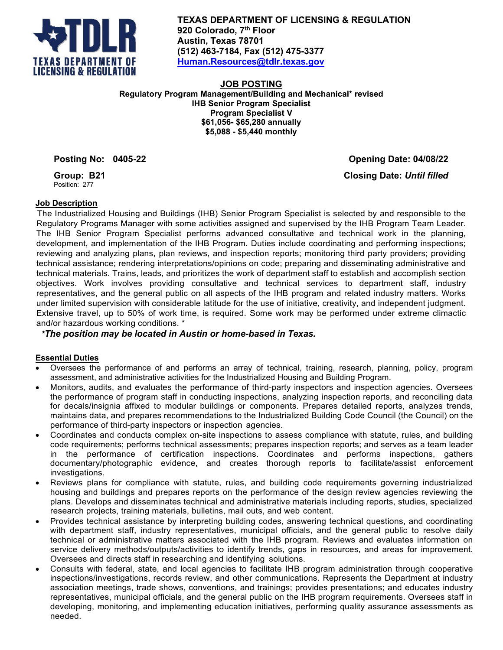

**TEXAS DEPARTMENT OF LICENSING & REGULATION 920 Colorado, 7th Floor Austin, Texas 78701 (512) 463-7184, Fax (512) 475-3377 [Human.Resources@tdlr.texas.gov](mailto:Human.Resources@tdlr.texas.gov)**

**JOB POSTING Regulatory Program Management/Building and Mechanical\* revised IHB Senior Program Specialist Program Specialist V \$61,056- \$65,280 annually \$5,088 - \$5,440 monthly**

**Posting No: 0405-22 Opening Date: 04/08/22 Closing Date:** *Until filled*

**Group: B21** Position: 277

## **Job Description**

The Industrialized Housing and Buildings (IHB) Senior Program Specialist is selected by and responsible to the Regulatory Programs Manager with some activities assigned and supervised by the IHB Program Team Leader. The IHB Senior Program Specialist performs advanced consultative and technical work in the planning, development, and implementation of the IHB Program. Duties include coordinating and performing inspections; reviewing and analyzing plans, plan reviews, and inspection reports; monitoring third party providers; providing technical assistance; rendering interpretations/opinions on code; preparing and disseminating administrative and technical materials. Trains, leads, and prioritizes the work of department staff to establish and accomplish section objectives. Work involves providing consultative and technical services to department staff, industry representatives, and the general public on all aspects of the IHB program and related industry matters. Works under limited supervision with considerable latitude for the use of initiative, creativity, and independent judgment. Extensive travel, up to 50% of work time, is required. Some work may be performed under extreme climactic and/or hazardous working conditions. \*

# *\*The position may be located in Austin or home-based in Texas.*

# **Essential Duties**

- Oversees the performance of and performs an array of technical, training, research, planning, policy, program assessment, and administrative activities for the Industrialized Housing and Building Program.
- Monitors, audits, and evaluates the performance of third-party inspectors and inspection agencies. Oversees the performance of program staff in conducting inspections, analyzing inspection reports, and reconciling data for decals/insignia affixed to modular buildings or components. Prepares detailed reports, analyzes trends, maintains data, and prepares recommendations to the Industrialized Building Code Council (the Council) on the performance of third-party inspectors or inspection agencies.
- Coordinates and conducts complex on-site inspections to assess compliance with statute, rules, and building code requirements; performs technical assessments; prepares inspection reports; and serves as a team leader in the performance of certification inspections. Coordinates and performs inspections, gathers documentary/photographic evidence, and creates thorough reports to facilitate/assist enforcement investigations.
- Reviews plans for compliance with statute, rules, and building code requirements governing industrialized housing and buildings and prepares reports on the performance of the design review agencies reviewing the plans. Develops and disseminates technical and administrative materials including reports, studies, specialized research projects, training materials, bulletins, mail outs, and web content.
- Provides technical assistance by interpreting building codes, answering technical questions, and coordinating with department staff, industry representatives, municipal officials, and the general public to resolve daily technical or administrative matters associated with the IHB program. Reviews and evaluates information on service delivery methods/outputs/activities to identify trends, gaps in resources, and areas for improvement. Oversees and directs staff in researching and identifying solutions.
- Consults with federal, state, and local agencies to facilitate IHB program administration through cooperative inspections/investigations, records review, and other communications. Represents the Department at industry association meetings, trade shows, conventions, and trainings; provides presentations; and educates industry representatives, municipal officials, and the general public on the IHB program requirements. Oversees staff in developing, monitoring, and implementing education initiatives, performing quality assurance assessments as needed.